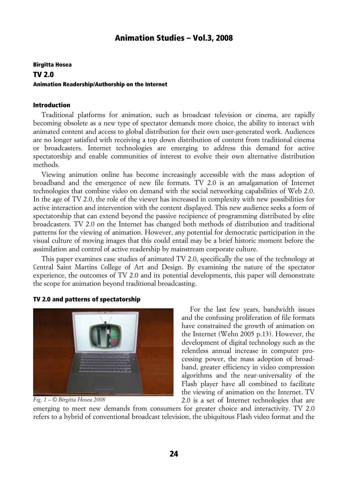# Birgitta Hosea TV 2.0 Animation Readership/Authorship on the Internet

### Introduction

Traditional platforms for animation, such as broadcast television or cinema, are rapidly becoming obsolete as a new type of spectator demands more choice, the ability to interact with animated content and access to global distribution for their own user-generated work. Audiences are no longer satisfied with receiving a top down distribution of content from traditional cinema or broadcasters. Internet technologies are emerging to address this demand for active spectatorship and enable communities of interest to evolve their own alternative distribution methods.

Viewing animation online has become increasingly accessible with the mass adoption of broadband and the emergence of new file formats. TV 2.0 is an amalgamation of Internet technologies that combine video on demand with the social networking capabilities of Web 2.0. In the age of TV 2.0, the role of the viewer has increased in complexity with new possibilities for active interaction and intervention with the content displayed. This new audience seeks a form of spectatorship that can extend beyond the passive recipience of programming distributed by elite broadcasters. TV 2.0 on the Internet has changed both methods of distribution and traditional patterns for the viewing of animation. However, any potential for democratic participation in the visual culture of moving images that this could entail may be a brief historic moment before the assimilation and control of active readership by mainstream corporate culture.

This paper examines case studies of animated TV 2.0, specifically the use of the technology at Central Saint Martins College of Art and Design. By examining the nature of the spectator experience, the outcomes of TV 2.0 and its potential developments, this paper will demonstrate the scope for animation beyond traditional broadcasting.

### TV 2.0 and patterns of spectatorship



*Fig. 1 – © Birgitta Hosea 2008*

For the last few years, bandwidth issues and the confusing proliferation of file formats have constrained the growth of animation on the Internet (Wehn 2005 p.13). However, the development of digital technology such as the relentless annual increase in computer processing power, the mass adoption of broadband, greater efficiency in video compression algorithms and the near-universality of the Flash player have all combined to facilitate the viewing of animation on the Internet. TV 2.0 is a set of Internet technologies that are

emerging to meet new demands from consumers for greater choice and interactivity. TV 2.0 refers to a hybrid of conventional broadcast television, the ubiquitous Flash video format and the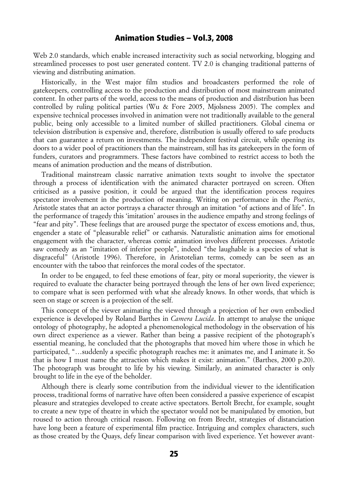Web 2.0 standards, which enable increased interactivity such as social networking, blogging and streamlined processes to post user generated content. TV 2.0 is changing traditional patterns of viewing and distributing animation.

Historically, in the West major film studios and broadcasters performed the role of gatekeepers, controlling access to the production and distribution of most mainstream animated content. In other parts of the world, access to the means of production and distribution has been controlled by ruling political parties (Wu & Fore 2005, Mjolsness 2005). The complex and expensive technical processes involved in animation were not traditionally available to the general public, being only accessible to a limited number of skilled practitioners. Global cinema or television distribution is expensive and, therefore, distribution is usually offered to safe products that can guarantee a return on investments. The independent festival circuit, while opening its doors to a wider pool of practitioners than the mainstream, still has its gatekeepers in the form of funders, curators and programmers. These factors have combined to restrict access to both the means of animation production and the means of distribution.

Traditional mainstream classic narrative animation texts sought to involve the spectator through a process of identification with the animated character portrayed on screen. Often criticised as a passive position, it could be argued that the identification process requires spectator involvement in the production of meaning. Writing on performance in the *Poetics*, Aristotle states that an actor portrays a character through an imitation "of actions and of life". In the performance of tragedy this 'imitation' arouses in the audience empathy and strong feelings of "fear and pity". These feelings that are aroused purge the spectator of excess emotions and, thus, engender a state of "pleasurable relief" or catharsis. Naturalistic animation aims for emotional engagement with the character, whereas comic animation involves different processes. Aristotle saw comedy as an "imitation of inferior people", indeed "the laughable is a species of what is disgraceful" (Aristotle 1996). Therefore, in Aristotelian terms, comedy can be seen as an encounter with the taboo that reinforces the moral codes of the spectator.

In order to be engaged, to feel these emotions of fear, pity or moral superiority, the viewer is required to evaluate the character being portrayed through the lens of her own lived experience; to compare what is seen performed with what she already knows. In other words, that which is seen on stage or screen is a projection of the self.

This concept of the viewer animating the viewed through a projection of her own embodied experience is developed by Roland Barthes in *Camera Lucida*. In attempt to analyse the unique ontology of photography, he adopted a phenomenological methodology in the observation of his own direct experience as a viewer. Rather than being a passive recipient of the photograph's essential meaning, he concluded that the photographs that moved him where those in which he participated, "…suddenly a specific photograph reaches me: it animates me, and I animate it. So that is how I must name the attraction which makes it exist: animation." (Barthes, 2000 p.20). The photograph was brought to life by his viewing. Similarly, an animated character is only brought to life in the eye of the beholder.

Although there is clearly some contribution from the individual viewer to the identification process, traditional forms of narrative have often been considered a passive experience of escapist pleasure and strategies developed to create active spectators. Bertolt Brecht, for example, sought to create a new type of theatre in which the spectator would not be manipulated by emotion, but roused to action through critical reason. Following on from Brecht, strategies of distanciation have long been a feature of experimental film practice. Intriguing and complex characters, such as those created by the Quays, defy linear comparison with lived experience. Yet however avant-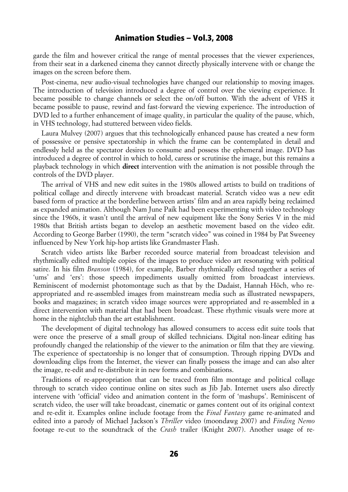garde the film and however critical the range of mental processes that the viewer experiences, from their seat in a darkened cinema they cannot directly physically intervene with or change the images on the screen before them.

Post-cinema, new audio-visual technologies have changed our relationship to moving images. The introduction of television introduced a degree of control over the viewing experience. It became possible to change channels or select the on/off button. With the advent of VHS it became possible to pause, rewind and fast-forward the viewing experience. The introduction of DVD led to a further enhancement of image quality, in particular the quality of the pause, which, in VHS technology, had stuttered between video fields.

Laura Mulvey (2007) argues that this technologically enhanced pause has created a new form of possessive or pensive spectatorship in which the frame can be contemplated in detail and endlessly held as the spectator desires to consume and possess the ephemeral image. DVD has introduced a degree of control in which to hold, caress or scrutinise the image, but this remains a playback technology in which **direct** intervention with the animation is not possible through the controls of the DVD player.

The arrival of VHS and new edit suites in the 1980s allowed artists to build on traditions of political collage and directly intervene with broadcast material. Scratch video was a new edit based form of practice at the borderline between artists' film and an area rapidly being reclaimed as expanded animation. Although Nam June Paik had been experimenting with video technology since the 1960s, it wasn't until the arrival of new equipment like the Sony Series V in the mid 1980s that British artists began to develop an aesthetic movement based on the video edit. According to George Barber (1990), the term "scratch video" was coined in 1984 by Pat Sweeney influenced by New York hip-hop artists like Grandmaster Flash.

Scratch video artists like Barber recorded source material from broadcast television and rhythmically edited multiple copies of the images to produce video art resonating with political satire. In his film *Branson* (1984), for example, Barber rhythmically edited together a series of 'ums' and 'ers': those speech impediments usually omitted from broadcast interviews. Reminiscent of modernist photomontage such as that by the Dadaist, Hannah Höch, who reappropriated and re-assembled images from mainstream media such as illustrated newspapers, books and magazines; in scratch video image sources were appropriated and re-assembled in a direct intervention with material that had been broadcast. These rhythmic visuals were more at home in the nightclub than the art establishment.

The development of digital technology has allowed consumers to access edit suite tools that were once the preserve of a small group of skilled technicians. Digital non-linear editing has profoundly changed the relationship of the viewer to the animation or film that they are viewing. The experience of spectatorship is no longer that of consumption. Through ripping DVDs and downloading clips from the Internet, the viewer can finally possess the image and can also alter the image, re-edit and re-distribute it in new forms and combinations.

Traditions of re-appropriation that can be traced from film montage and political collage through to scratch video continue online on sites such as Jib Jab. Internet users also directly intervene with 'official' video and animation content in the form of 'mashups'. Reminiscent of scratch video, the user will take broadcast, cinematic or games content out of its original context and re-edit it. Examples online include footage from the *Final Fantasy* game re-animated and edited into a parody of Michael Jackson's *Thriller* video (moondawg 2007) and *Finding Nemo* footage re-cut to the soundtrack of the *Crash* trailer (Knight 2007). Another usage of re-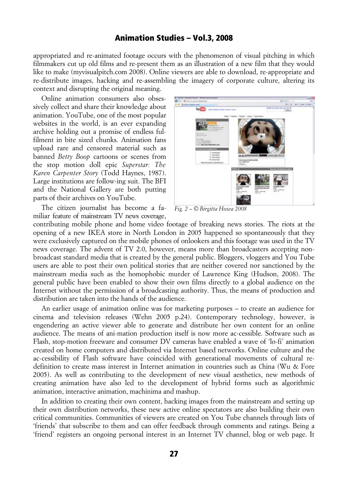appropriated and re-animated footage occurs with the phenomenon of visual pitching in which filmmakers cut up old films and re-present them as an illustration of a new film that they would like to make (myvisualpitch.com 2008). Online viewers are able to download, re-appropriate and re-distribute images, hacking and re-assembling the imagery of corporate culture, altering its context and disrupting the original meaning.

Online animation consumers also obsessively collect and share their knowledge about animation. YouTube, one of the most popular websites in the world, is an ever expanding archive holding out a promise of endless fulfilment in bite sized chunks. Animation fans upload rare and censored material such as banned *Betty Boop* cartoons or scenes from the stop motion doll epic *Superstar: The Karen Carpenter Story* (Todd Haynes, 1987). Large institutions are follow-ing suit. The BFI and the National Gallery are both putting parts of their archives on YouTube.

The citizen journalist has become a familiar feature of mainstream TV news coverage,



*Fig. 2 – © Birgitta Hosea 2008*

contributing mobile phone and home video footage of breaking news stories. The riots at the opening of a new IKEA store in North London in 2005 happened so spontaneously that they were exclusively captured on the mobile phones of onlookers and this footage was used in the TV news coverage. The advent of TV 2.0, however, means more than broadcasters accepting nonbroadcast standard media that is created by the general public. Bloggers, vloggers and You Tube users are able to post their own political stories that are neither covered nor sanctioned by the mainstream media such as the homophobic murder of Lawrence King (Hudson, 2008). The general public have been enabled to show their own films directly to a global audience on the Internet without the permission of a broadcasting authority. Thus, the means of production and distribution are taken into the hands of the audience.

An earlier usage of animation online was for marketing purposes – to create an audience for cinema and television releases (Wehn 2005 p.24). Contemporary technology, however, is engendering an active viewer able to generate and distribute her own content for an online audience. The means of ani-mation production itself is now more ac-cessible. Software such as Flash, stop-motion freeware and consumer DV cameras have enabled a wave of 'lo-fi' animation created on home computers and distributed via Internet based networks. Online culture and the ac-cessibility of Flash software have coincided with generational movements of cultural redefinition to create mass interest in Internet animation in countries such as China (Wu & Fore 2005). As well as contributing to the development of new visual aesthetics, new methods of creating animation have also led to the development of hybrid forms such as algorithmic animation, interactive animation, machinima and mashup.

In addition to creating their own content, hacking images from the mainstream and setting up their own distribution networks, these new active online spectators are also building their own critical communities. Communities of viewers are created on You Tube channels through lists of 'friends' that subscribe to them and can offer feedback through comments and ratings. Being a 'friend' registers an ongoing personal interest in an Internet TV channel, blog or web page. It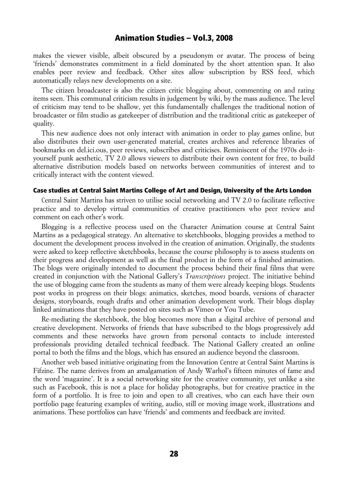makes the viewer visible, albeit obscured by a pseudonym or avatar. The process of being 'friends' demonstrates commitment in a field dominated by the short attention span. It also enables peer review and feedback. Other sites allow subscription by RSS feed, which automatically relays new developments on a site.

The citizen broadcaster is also the citizen critic blogging about, commenting on and rating items seen. This communal criticism results in judgement by wiki, by the mass audience. The level of criticism may tend to be shallow, yet this fundamentally challenges the traditional notion of broadcaster or film studio as gatekeeper of distribution and the traditional critic as gatekeeper of quality.

This new audience does not only interact with animation in order to play games online, but also distributes their own user-generated material, creates archives and reference libraries of bookmarks on del.ici.ous, peer reviews, subscribes and criticises. Reminiscent of the 1970s do-ityourself punk aesthetic, TV 2.0 allows viewers to distribute their own content for free, to build alternative distribution models based on networks between communities of interest and to critically interact with the content viewed.

### Case studies at Central Saint Martins College of Art and Design, University of the Arts London

Central Saint Martins has striven to utilise social networking and TV 2.0 to facilitate reflective practice and to develop virtual communities of creative practitioners who peer review and comment on each other's work.

Blogging is a reflective process used on the Character Animation course at Central Saint Martins as a pedagogical strategy. An alternative to sketchbooks, blogging provides a method to document the development process involved in the creation of animation. Originally, the students were asked to keep reflective sketchbooks, because the course philosophy is to assess students on their progress and development as well as the final product in the form of a finished animation. The blogs were originally intended to document the process behind their final films that were created in conjunction with the National Gallery's *Transcriptions* project. The initiative behind the use of blogging came from the students as many of them were already keeping blogs. Students post works in progress on their blogs: animatics, sketches, mood boards, versions of character designs, storyboards, rough drafts and other animation development work. Their blogs display linked animations that they have posted on sites such as Vimeo or You Tube.

Re-mediating the sketchbook, the blog becomes more than a digital archive of personal and creative development. Networks of friends that have subscribed to the blogs progressively add comments and these networks have grown from personal contacts to include interested professionals providing detailed technical feedback. The National Gallery created an online portal to both the films and the blogs, which has ensured an audience beyond the classroom.

Another web based initiative originating from the Innovation Centre at Central Saint Martins is Fifzine. The name derives from an amalgamation of Andy Warhol's fifteen minutes of fame and the word 'magazine'. It is a social networking site for the creative community, yet unlike a site such as Facebook, this is not a place for holiday photographs, but for creative practice in the form of a portfolio. It is free to join and open to all creatives, who can each have their own portfolio page featuring examples of writing, audio, still or moving image work, illustrations and animations. These portfolios can have 'friends' and comments and feedback are invited.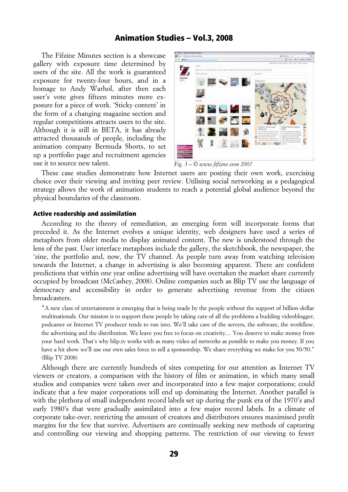The Fifzine Minutes section is a showcase gallery with exposure time determined by users of the site. All the work is guaranteed exposure for twenty-four hours, and in a homage to Andy Warhol, after then each user's vote gives fifteen minutes more exposure for a piece of work. 'Sticky content' in the form of a changing magazine section and regular competitions attracts users to the site. Although it is still in BETA, it has already attracted thousands of people, including the animation company Bermuda Shorts, to set up a portfolio page and recruitment agencies use it to source new talent.



*Fig. 3 – © www.fifzine.com 2007*

These case studies demonstrate how Internet users are posting their own work, exercising choice over their viewing and inviting peer review. Utilising social networking as a pedagogical strategy allows the work of animation students to reach a potential global audience beyond the physical boundaries of the classroom.

#### Active readership and assimilation

According to the theory of remediation, an emerging form will incorporate forms that preceded it. As the Internet evolves a unique identity, web designers have used a series of metaphors from older media to display animated content. The new is understood through the lens of the past. User interface metaphors include the gallery, the sketchbook, the newspaper, the 'zine, the portfolio and, now, the TV channel. As people turn away from watching television towards the Internet, a change in advertising is also becoming apparent. There are confident predictions that within one year online advertising will have overtaken the market share currently occupied by broadcast (McCashey, 2008). Online companies such as Blip TV use the language of democracy and accessibility in order to generate advertising revenue from the citizen broadcasters.

"A new class of entertainment is emerging that is being made by the people without the support of billion-dollar multinationals. Our mission is to support these people by taking care of all the problems a budding videoblogger, podcaster or Internet TV producer tends to run into. We'll take care of the servers, the software, the workflow, the advertising and the distribution. We leave you free to focus on creativity… You deserve to make money from your hard work. That's why blip.tv works with as many video ad networks as possible to make you money. If you have a hit show we'll use our own sales force to sell a sponsorship. We share everything we make for you 50/50." (Blip TV 2008)

Although there are currently hundreds of sites competing for our attention as Internet TV viewers or creators, a comparison with the history of film or animation, in which many small studios and companies were taken over and incorporated into a few major corporations; could indicate that a few major corporations will end up dominating the Internet. Another parallel is with the plethora of small independent record labels set up during the punk era of the 1970's and early 1980's that were gradually assimilated into a few major record labels. In a climate of corporate take-over, restricting the amount of creators and distributors ensures maximised profit margins for the few that survive. Advertisers are continually seeking new methods of capturing and controlling our viewing and shopping patterns. The restriction of our viewing to fewer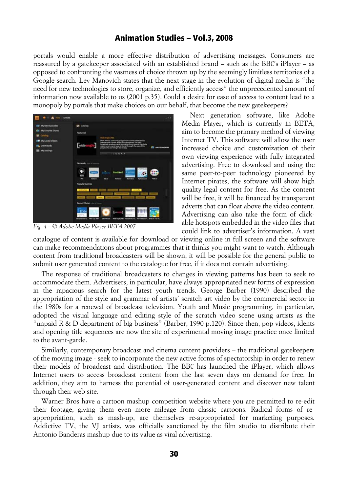portals would enable a more effective distribution of advertising messages. Consumers are reassured by a gatekeeper associated with an established brand – such as the BBC's iPlayer – as opposed to confronting the vastness of choice thrown up by the seemingly limitless territories of a Google search. Lev Manovich states that the next stage in the evolution of digital media is "the need for new technologies to store, organize, and efficiently access" the unprecedented amount of information now available to us (2001 p.35). Could a desire for ease of access to content lead to a monopoly by portals that make choices on our behalf, that become the new gatekeepers?



*Fig. 4 – © Adobe Media Player BETA 2007*

Next generation software, like Adobe Media Player, which is currently in BETA, aim to become the primary method of viewing Internet TV. This software will allow the user increased choice and customization of their own viewing experience with fully integrated advertising. Free to download and using the same peer-to-peer technology pioneered by Internet pirates, the software will show high quality legal content for free. As the content will be free, it will be financed by transparent adverts that can float above the video content. Advertising can also take the form of clickable hotspots embedded in the video files that could link to advertiser's information. A vast

catalogue of content is available for download or viewing online in full screen and the software can make recommendations about programmes that it thinks you might want to watch. Although content from traditional broadcasters will be shown, it will be possible for the general public to submit user generated content to the catalogue for free, if it does not contain advertising.

The response of traditional broadcasters to changes in viewing patterns has been to seek to accommodate them. Advertisers, in particular, have always appropriated new forms of expression in the rapacious search for the latest youth trends. George Barber (1990) described the appropriation of the style and grammar of artists' scratch art video by the commercial sector in the 1980s for a renewal of broadcast television. Youth and Music programming, in particular, adopted the visual language and editing style of the scratch video scene using artists as the "unpaid R & D department of big business" (Barber, 1990 p.120). Since then, pop videos, idents and opening title sequences are now the site of experimental moving image practice once limited to the avant-garde.

Similarly, contemporary broadcast and cinema content providers – the traditional gatekeepers of the moving image - seek to incorporate the new active forms of spectatorship in order to renew their models of broadcast and distribution. The BBC has launched the iPlayer, which allows Internet users to access broadcast content from the last seven days on demand for free. In addition, they aim to harness the potential of user-generated content and discover new talent through their web site.

Warner Bros have a cartoon mashup competition website where you are permitted to re-edit their footage, giving them even more mileage from classic cartoons. Radical forms of reappropriation, such as mash-up, are themselves re-appropriated for marketing purposes. Addictive TV, the VJ artists, was officially sanctioned by the film studio to distribute their Antonio Banderas mashup due to its value as viral advertising.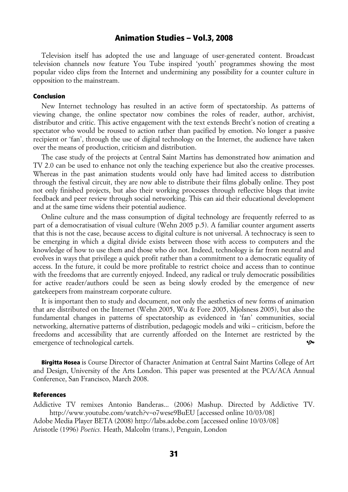Television itself has adopted the use and language of user-generated content. Broadcast television channels now feature You Tube inspired 'youth' programmes showing the most popular video clips from the Internet and undermining any possibility for a counter culture in opposition to the mainstream.

#### Conclusion

New Internet technology has resulted in an active form of spectatorship. As patterns of viewing change, the online spectator now combines the roles of reader, author, archivist, distributor and critic. This active engagement with the text extends Brecht's notion of creating a spectator who would be roused to action rather than pacified by emotion. No longer a passive recipient or 'fan', through the use of digital technology on the Internet, the audience have taken over the means of production, criticism and distribution.

The case study of the projects at Central Saint Martins has demonstrated how animation and TV 2.0 can be used to enhance not only the teaching experience but also the creative processes. Whereas in the past animation students would only have had limited access to distribution through the festival circuit, they are now able to distribute their films globally online. They post not only finished projects, but also their working processes through reflective blogs that invite feedback and peer review through social networking. This can aid their educational development and at the same time widens their potential audience.

Online culture and the mass consumption of digital technology are frequently referred to as part of a democratisation of visual culture (Wehn 2005 p.5). A familiar counter argument asserts that this is not the case, because access to digital culture is not universal. A technocracy is seen to be emerging in which a digital divide exists between those with access to computers and the knowledge of how to use them and those who do not. Indeed, technology is far from neutral and evolves in ways that privilege a quick profit rather than a commitment to a democratic equality of access. In the future, it could be more profitable to restrict choice and access than to continue with the freedoms that are currently enjoyed. Indeed, any radical or truly democratic possibilities for active reader/authors could be seen as being slowly eroded by the emergence of new gatekeepers from mainstream corporate culture.

It is important then to study and document, not only the aesthetics of new forms of animation that are distributed on the Internet (Wehn 2005, Wu & Fore 2005, Mjolsness 2005), but also the fundamental changes in patterns of spectatorship as evidenced in 'fan' communities, social networking, alternative patterns of distribution, pedagogic models and wiki – criticism, before the freedoms and accessibility that are currently afforded on the Internet are restricted by the emergence of technological cartels. ^

Birgitta Hosea is Course Director of Character Animation at Central Saint Martins College of Art and Design, University of the Arts London. This paper was presented at the PCA/ACA Annual Conference, San Francisco, March 2008.

#### References

Addictive TV remixes Antonio Banderas... (2006) Mashup. Directed by Addictive TV. http://www.youtube.com/watch?v=o7wese9BuEU [accessed online 10/03/08] Adobe Media Player BETA (2008) http://labs.adobe.com [accessed online 10/03/08] Aristotle (1996) *Poetics.* Heath, Malcolm (trans.), Penguin, London